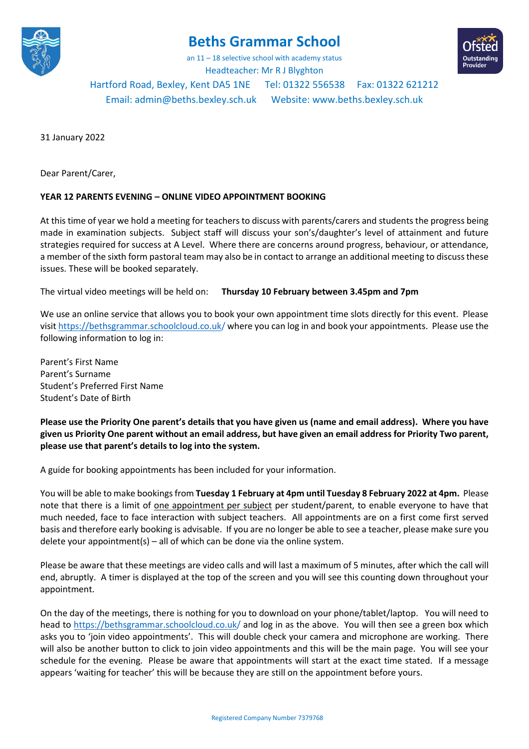

## **Beths Grammar School**

an 11 – 18 selective school with academy status Headteacher: Mr R J Blyghton

Hartford Road, Bexley, Kent DA5 1NE Tel: 01322 556538 Fax: 01322 621212 Email[: admin@beths.bexley.sch.uk](mailto:admin@beths.bexley.sch.uk) Website: [www.beths.bexley.sch.uk](http://www.beths.bexley.sch.uk/)

31 January 2022

Dear Parent/Carer,

## **YEAR 12 PARENTS EVENING – ONLINE VIDEO APPOINTMENT BOOKING**

At this time of year we hold a meeting for teachers to discuss with parents/carers and students the progress being made in examination subjects. Subject staff will discuss your son's/daughter's level of attainment and future strategies required for success at A Level. Where there are concerns around progress, behaviour, or attendance, a member of the sixth form pastoral team may also be in contact to arrange an additional meeting to discuss these issues. These will be booked separately.

The virtual video meetings will be held on: **Thursday 10 February between 3.45pm and 7pm**

We use an online service that allows you to book your own appointment time slots directly for this event. Please visit https://bethsgrammar.schoolcloud.co.uk/ where you can log in and book your appointments. Please use the following information to log in:

Parent's First Name Parent's Surname Student's Preferred First Name Student's Date of Birth

**Please use the Priority One parent's details that you have given us (name and email address). Where you have given us Priority One parent without an email address, but have given an email address for Priority Two parent, please use that parent's details to log into the system.**

A guide for booking appointments has been included for your information.

You will be able to make bookings from **Tuesday 1 February at 4pm until Tuesday 8 February 2022 at 4pm.** Please note that there is a limit of <u>one appointment per subject</u> per student/parent, to enable everyone to have that much needed, face to face interaction with subject teachers. All appointments are on a first come first served basis and therefore early booking is advisable. If you are no longer be able to see a teacher, please make sure you delete your appointment(s) – all of which can be done via the online system.

Please be aware that these meetings are video calls and will last a maximum of 5 minutes, after which the call will end, abruptly. A timer is displayed at the top of the screen and you will see this counting down throughout your appointment.

On the day of the meetings, there is nothing for you to download on your phone/tablet/laptop. You will need to head to https://bethsgrammar.schoolcloud.co.uk/ and log in as the above. You will then see a green box which asks you to 'join video appointments'. This will double check your camera and microphone are working. There will also be another button to click to join video appointments and this will be the main page. You will see your schedule for the evening. Please be aware that appointments will start at the exact time stated. If a message appears 'waiting for teacher' this will be because they are still on the appointment before yours.